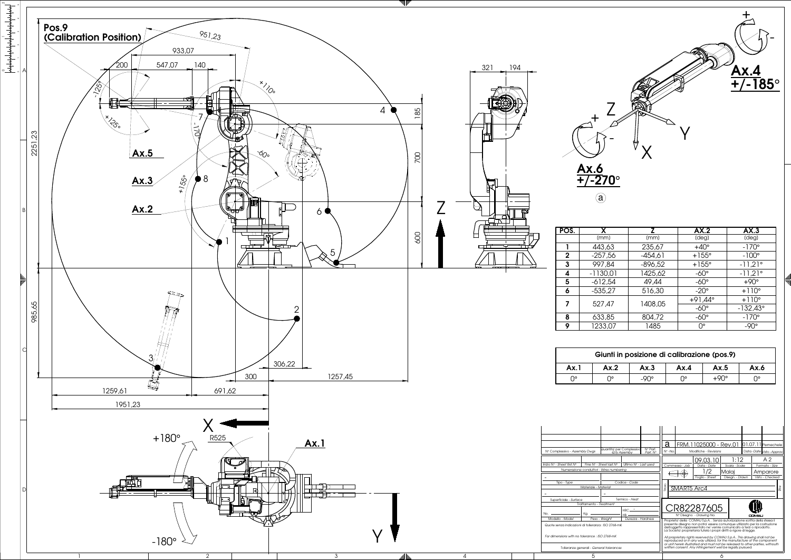0 1 2

| $\overline{\mathbf{x}}$ | z         | AX.2             | AX.3              |
|-------------------------|-----------|------------------|-------------------|
| mm)                     | (mm)      | (deg)            | (deg)             |
| 13,63                   | 235,67    | $+40^\circ$      | $-170^\circ$      |
| 57,56                   | $-454,61$ | $+155^\circ$     | $-100^\circ$      |
| 77,84                   | $-896,52$ | $+155^\circ$     | $-11,21^{\circ}$  |
| 30,01                   | 1425,62   | $-60^\circ$      | $-11,21^{\circ}$  |
| 12,54                   | 49,44     | $-60^\circ$      | $+90^\circ$       |
| 35,27                   | 516,30    | $-20^\circ$      | $+110^{\circ}$    |
| 27.47                   |           | $+91,44^{\circ}$ | $+110^\circ$      |
|                         | 1408,05   | $-60^\circ$      | $-132,43^{\circ}$ |
| 33,85                   | 804,72    | $-60^\circ$      | $-170^\circ$      |
| 33,07                   | 1485      | O۰               | $-90^\circ$       |

| Ax.3                                                        | Ax.4                                                                                                                                                                                                                                                                                                |                               | Ax.5                                                                   |                                                                                     | Ax.6                                     |                |                                                                                                                                                                                                                                  |
|-------------------------------------------------------------|-----------------------------------------------------------------------------------------------------------------------------------------------------------------------------------------------------------------------------------------------------------------------------------------------------|-------------------------------|------------------------------------------------------------------------|-------------------------------------------------------------------------------------|------------------------------------------|----------------|----------------------------------------------------------------------------------------------------------------------------------------------------------------------------------------------------------------------------------|
| $-90^\circ$                                                 | 0°                                                                                                                                                                                                                                                                                                  |                               |                                                                        |                                                                                     |                                          | N۰             |                                                                                                                                                                                                                                  |
|                                                             |                                                                                                                                                                                                                                                                                                     |                               |                                                                        |                                                                                     |                                          |                |                                                                                                                                                                                                                                  |
|                                                             |                                                                                                                                                                                                                                                                                                     |                               |                                                                        |                                                                                     |                                          |                |                                                                                                                                                                                                                                  |
|                                                             |                                                                                                                                                                                                                                                                                                     |                               |                                                                        |                                                                                     |                                          |                |                                                                                                                                                                                                                                  |
|                                                             |                                                                                                                                                                                                                                                                                                     |                               |                                                                        |                                                                                     |                                          |                |                                                                                                                                                                                                                                  |
|                                                             |                                                                                                                                                                                                                                                                                                     |                               |                                                                        |                                                                                     |                                          |                |                                                                                                                                                                                                                                  |
|                                                             |                                                                                                                                                                                                                                                                                                     |                               |                                                                        |                                                                                     |                                          |                |                                                                                                                                                                                                                                  |
| N° Part.                                                    | Nº-No.                                                                                                                                                                                                                                                                                              |                               |                                                                        |                                                                                     |                                          |                |                                                                                                                                                                                                                                  |
|                                                             |                                                                                                                                                                                                                                                                                                     | 09.03.10                      |                                                                        |                                                                                     |                                          | A <sub>2</sub> |                                                                                                                                                                                                                                  |
| Ultimo Nº - Last used<br>Sheet last N°<br>- Wires numbering |                                                                                                                                                                                                                                                                                                     | Data - Date<br>Commessa - Job |                                                                        | Formato - Size                                                                      |                                          |                |                                                                                                                                                                                                                                  |
|                                                             |                                                                                                                                                                                                                                                                                                     |                               |                                                                        |                                                                                     | Amparore                                 |                |                                                                                                                                                                                                                                  |
|                                                             |                                                                                                                                                                                                                                                                                                     |                               |                                                                        |                                                                                     |                                          |                |                                                                                                                                                                                                                                  |
|                                                             |                                                                                                                                                                                                                                                                                                     |                               |                                                                        |                                                                                     |                                          |                |                                                                                                                                                                                                                                  |
|                                                             |                                                                                                                                                                                                                                                                                                     |                               |                                                                        |                                                                                     |                                          |                |                                                                                                                                                                                                                                  |
|                                                             |                                                                                                                                                                                                                                                                                                     |                               |                                                                        |                                                                                     |                                          |                |                                                                                                                                                                                                                                  |
|                                                             |                                                                                                                                                                                                                                                                                                     |                               |                                                                        |                                                                                     |                                          |                |                                                                                                                                                                                                                                  |
|                                                             | dell'oggetto rappresentato ne' venire comunicato a terzi o riprodotto.                                                                                                                                                                                                                              |                               |                                                                        |                                                                                     |                                          |                |                                                                                                                                                                                                                                  |
|                                                             | La Societa' proprietaria tutela i propri diritti a rigore di legge.                                                                                                                                                                                                                                 |                               |                                                                        |                                                                                     |                                          |                |                                                                                                                                                                                                                                  |
|                                                             | All proprietary rights reserved by COMAU S.p.A This drawing shall not be<br>reproduced or in any way utilized, for the manufacture of the component<br>or unit herein illustrated and must not be released to other parties, withouth<br>written consent. Any infringement well be legally pursued. |                               |                                                                        |                                                                                     |                                          |                |                                                                                                                                                                                                                                  |
|                                                             | Quantita' per Complessivo<br>Q.tv Assemby<br>Part. N°<br>Codice - Code<br>Termico - Heat<br>$HRC -$<br>Durezza - Hardness                                                                                                                                                                           | а<br>litolo                   | 72<br>Foalio - Sheet<br>SMART5 Arc4<br>N° Disegno <i>- Drawing No.</i> | $+90^\circ$<br>FRM.11025000 - Rev.01<br>Modifiche - Revisions<br>Malai<br>R82287605 | 1:12<br>Scala - Scale<br>Disegn. - Drawn |                | 01.07.11Pernechele<br>Data - Date Visto - Approv<br>Visto - Checked<br>Proprieta' della COMAU S.p.A. . Senza autorizzazione scritta della stessa il<br>presente disegno non potra' essere comunque utilizzato per la costruzione |